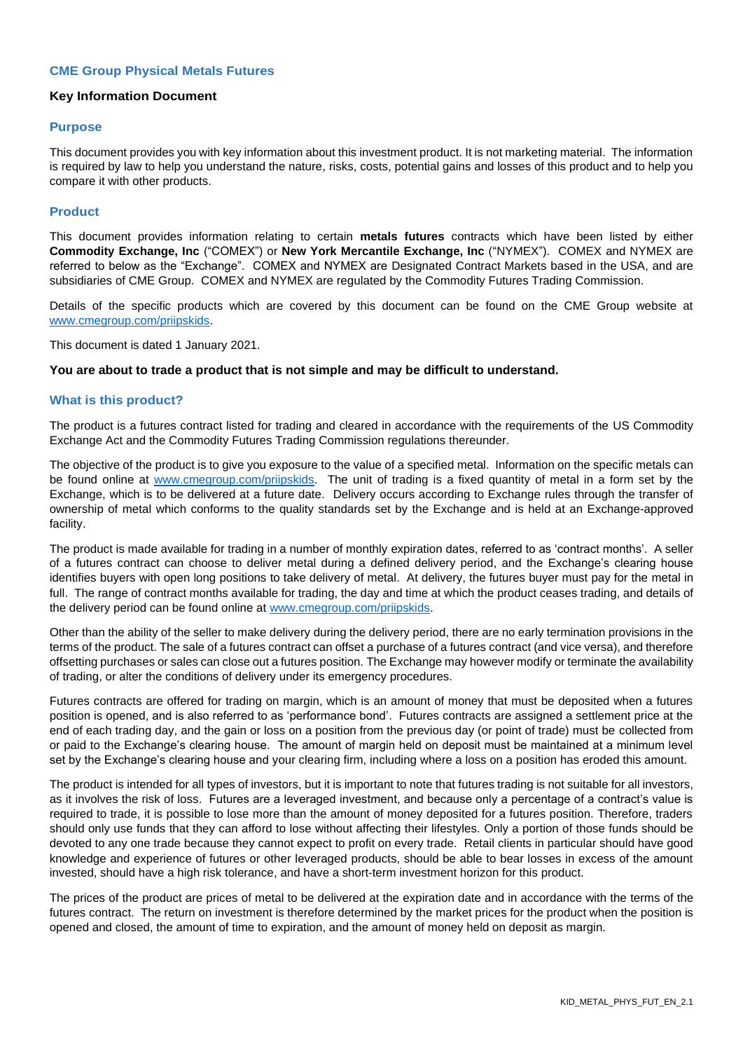# **CME Group Physical Metals Futures**

#### **Key Information Document**

#### **Purpose**

This document provides you with key information about this investment product. It is not marketing material. The information is required by law to help you understand the nature, risks, costs, potential gains and losses of this product and to help you compare it with other products.

#### **Product**

This document provides information relating to certain **metals futures** contracts which have been listed by either **Commodity Exchange, Inc** ("COMEX") or **New York Mercantile Exchange, Inc** ("NYMEX"). COMEX and NYMEX are referred to below as the "Exchange". COMEX and NYMEX are Designated Contract Markets based in the USA, and are subsidiaries of CME Group. COMEX and NYMEX are regulated by the Commodity Futures Trading Commission.

Details of the specific products which are covered by this document can be found on the CME Group website at [www.cmegroup.com/priipskids.](http://www.cmegroup.com/priipskids)

This document is dated 1 January 2021.

#### **You are about to trade a product that is not simple and may be difficult to understand.**

#### **What is this product?**

The product is a futures contract listed for trading and cleared in accordance with the requirements of the US Commodity Exchange Act and the Commodity Futures Trading Commission regulations thereunder.

The objective of the product is to give you exposure to the value of a specified metal. Information on the specific metals can be found online at [www.cmegroup.com/priipskids.](http://www.cmegroup.com/priipskids) The unit of trading is a fixed quantity of metal in a form set by the Exchange, which is to be delivered at a future date. Delivery occurs according to Exchange rules through the transfer of ownership of metal which conforms to the quality standards set by the Exchange and is held at an Exchange-approved facility.

The product is made available for trading in a number of monthly expiration dates, referred to as 'contract months'. A seller of a futures contract can choose to deliver metal during a defined delivery period, and the Exchange's clearing house identifies buyers with open long positions to take delivery of metal. At delivery, the futures buyer must pay for the metal in full. The range of contract months available for trading, the day and time at which the product ceases trading, and details of the delivery period can be found online at [www.cmegroup.com/priipskids.](http://www.cmegroup.com/priipskids)

Other than the ability of the seller to make delivery during the delivery period, there are no early termination provisions in the terms of the product. The sale of a futures contract can offset a purchase of a futures contract (and vice versa), and therefore offsetting purchases or sales can close out a futures position. The Exchange may however modify or terminate the availability of trading, or alter the conditions of delivery under its emergency procedures.

Futures contracts are offered for trading on margin, which is an amount of money that must be deposited when a futures position is opened, and is also referred to as 'performance bond'. Futures contracts are assigned a settlement price at the end of each trading day, and the gain or loss on a position from the previous day (or point of trade) must be collected from or paid to the Exchange's clearing house. The amount of margin held on deposit must be maintained at a minimum level set by the Exchange's clearing house and your clearing firm, including where a loss on a position has eroded this amount.

The product is intended for all types of investors, but it is important to note that futures trading is not suitable for all investors, as it involves the risk of loss. Futures are a leveraged investment, and because only a percentage of a contract's value is required to trade, it is possible to lose more than the amount of money deposited for a futures position. Therefore, traders should only use funds that they can afford to lose without affecting their lifestyles. Only a portion of those funds should be devoted to any one trade because they cannot expect to profit on every trade. Retail clients in particular should have good knowledge and experience of futures or other leveraged products, should be able to bear losses in excess of the amount invested, should have a high risk tolerance, and have a short-term investment horizon for this product.

The prices of the product are prices of metal to be delivered at the expiration date and in accordance with the terms of the futures contract. The return on investment is therefore determined by the market prices for the product when the position is opened and closed, the amount of time to expiration, and the amount of money held on deposit as margin.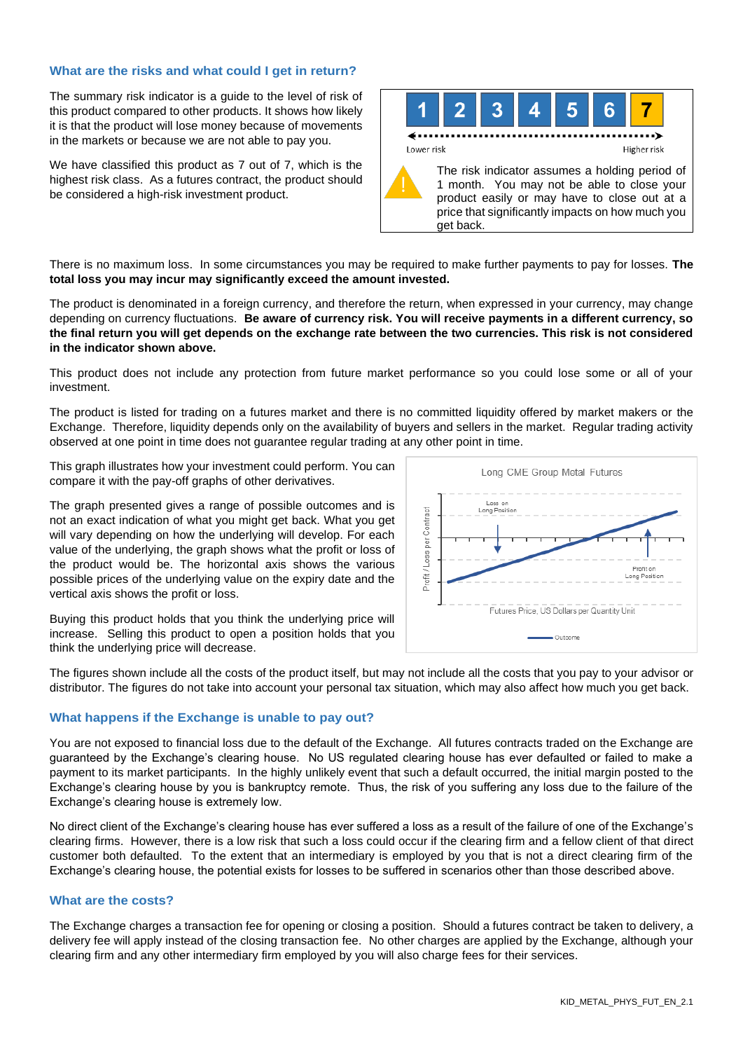# **What are the risks and what could I get in return?**

The summary risk indicator is a guide to the level of risk of this product compared to other products. It shows how likely it is that the product will lose money because of movements in the markets or because we are not able to pay you.

We have classified this product as 7 out of 7, which is the highest risk class. As a futures contract, the product should be considered a high-risk investment product.



There is no maximum loss. In some circumstances you may be required to make further payments to pay for losses. **The total loss you may incur may significantly exceed the amount invested.**

The product is denominated in a foreign currency, and therefore the return, when expressed in your currency, may change depending on currency fluctuations. **Be aware of currency risk. You will receive payments in a different currency, so the final return you will get depends on the exchange rate between the two currencies. This risk is not considered in the indicator shown above.**

This product does not include any protection from future market performance so you could lose some or all of your investment.

The product is listed for trading on a futures market and there is no committed liquidity offered by market makers or the Exchange. Therefore, liquidity depends only on the availability of buyers and sellers in the market. Regular trading activity observed at one point in time does not guarantee regular trading at any other point in time.

This graph illustrates how your investment could perform. You can compare it with the pay-off graphs of other derivatives.

The graph presented gives a range of possible outcomes and is not an exact indication of what you might get back. What you get will vary depending on how the underlying will develop. For each value of the underlying, the graph shows what the profit or loss of the product would be. The horizontal axis shows the various possible prices of the underlying value on the expiry date and the vertical axis shows the profit or loss.



Buying this product holds that you think the underlying price will increase. Selling this product to open a position holds that you think the underlying price will decrease.

The figures shown include all the costs of the product itself, but may not include all the costs that you pay to your advisor or distributor. The figures do not take into account your personal tax situation, which may also affect how much you get back.

# **What happens if the Exchange is unable to pay out?**

You are not exposed to financial loss due to the default of the Exchange. All futures contracts traded on the Exchange are guaranteed by the Exchange's clearing house. No US regulated clearing house has ever defaulted or failed to make a payment to its market participants. In the highly unlikely event that such a default occurred, the initial margin posted to the Exchange's clearing house by you is bankruptcy remote. Thus, the risk of you suffering any loss due to the failure of the Exchange's clearing house is extremely low.

No direct client of the Exchange's clearing house has ever suffered a loss as a result of the failure of one of the Exchange's clearing firms. However, there is a low risk that such a loss could occur if the clearing firm and a fellow client of that direct customer both defaulted. To the extent that an intermediary is employed by you that is not a direct clearing firm of the Exchange's clearing house, the potential exists for losses to be suffered in scenarios other than those described above.

# **What are the costs?**

The Exchange charges a transaction fee for opening or closing a position. Should a futures contract be taken to delivery, a delivery fee will apply instead of the closing transaction fee. No other charges are applied by the Exchange, although your clearing firm and any other intermediary firm employed by you will also charge fees for their services.